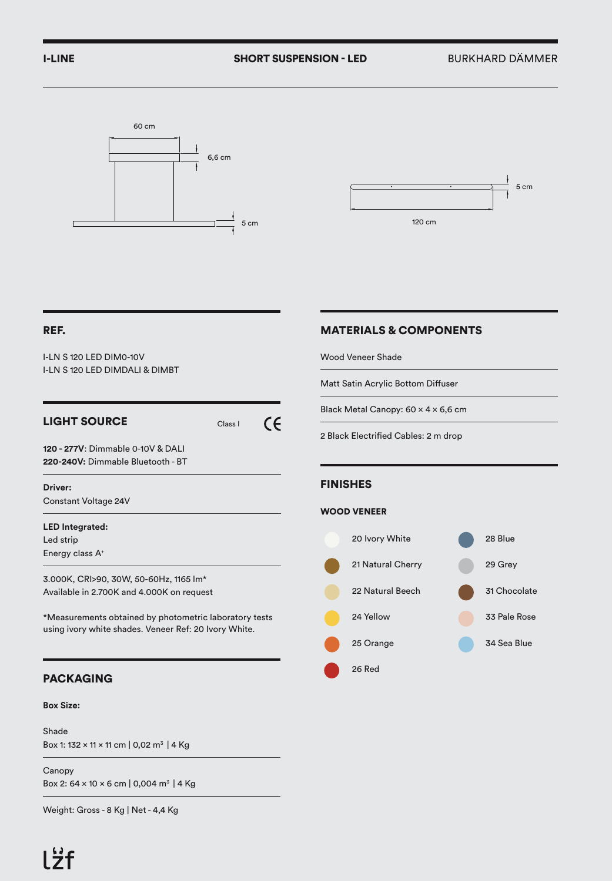



## REF.

I-LN S 120 LED DIM0-10V I-LN S 120 LED DIMDALI & DIMBT

# LIGHT SOURCE Class I

 $\epsilon$ 

**120 - 277V**: Dimmable 0-10V & DALI **220-240V:** Dimmable Bluetooth - BT

## **Driver:**

Constant Voltage 24V

### **LED Integrated:**

Led strip Energy class A+

3.000K, CRI>90, 30W, 50-60Hz, 1165 lm\* Available in 2.700K and 4.000K on request

\*Measurements obtained by photometric laboratory tests using ivory white shades. Veneer Ref: 20 Ivory White.

# PACKAGING

### **Box Size:**

Shade Box 1: 132 x 11 x 11 cm | 0,02 m3 | 4 Kg

Canopy Box 2:  $64 \times 10 \times 6$  cm | 0,004 m<sup>3</sup> | 4 Kg

Weight: Gross - 8 Kg | Net - 4,4 Kg

# MATERIALS & COMPONENTS

Wood Veneer Shade

Matt Satin Acrylic Bottom Diffuser

Black Metal Canopy: 60 x 4 x 6,6 cm

2 Black Electrified Cables: 2 m drop

## FINISHES

### WOOD VENEER